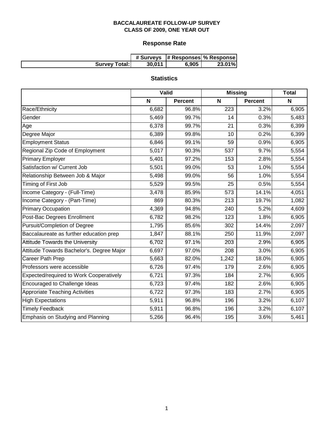# **Response Rate**

|                      |        | # Surveys  # Responses  % Response |        |
|----------------------|--------|------------------------------------|--------|
| <b>Survey Total:</b> | 30.011 | 6,905                              | 23.01% |

# **Statistics**

|                                           | Valid |                | <b>Missing</b> | <b>Total</b>   |       |
|-------------------------------------------|-------|----------------|----------------|----------------|-------|
|                                           | N     | <b>Percent</b> | N              | <b>Percent</b> | N     |
| Race/Ethnicity                            | 6,682 | 96.8%          | 223            | 3.2%           | 6,905 |
| Gender                                    | 5,469 | 99.7%          | 14             | 0.3%           | 5,483 |
| Age                                       | 6,378 | 99.7%          | 21             | 0.3%           | 6,399 |
| Degree Major                              | 6,389 | 99.8%          | 10             | 0.2%           | 6,399 |
| <b>Employment Status</b>                  | 6,846 | 99.1%          | 59             | 0.9%           | 6,905 |
| Regional Zip Code of Employment           | 5,017 | 90.3%          | 537            | 9.7%           | 5,554 |
| <b>Primary Employer</b>                   | 5,401 | 97.2%          | 153            | 2.8%           | 5,554 |
| Satisfaction w/ Current Job               | 5,501 | 99.0%          | 53             | 1.0%           | 5,554 |
| Relationship Between Job & Major          | 5,498 | 99.0%          | 56             | 1.0%           | 5,554 |
| Timing of First Job                       | 5,529 | 99.5%          | 25             | 0.5%           | 5,554 |
| Income Category - (Full-Time)             | 3,478 | 85.9%          | 573            | 14.1%          | 4,051 |
| Income Category - (Part-Time)             | 869   | 80.3%          | 213            | 19.7%          | 1,082 |
| <b>Primary Occupation</b>                 | 4,369 | 94.8%          | 240            | 5.2%           | 4,609 |
| Post-Bac Degrees Enrollment               | 6,782 | 98.2%          | 123            | 1.8%           | 6,905 |
| Pursuit/Completion of Degree              | 1,795 | 85.6%          | 302            | 14.4%          | 2,097 |
| Baccalaureate as further education prep   | 1,847 | 88.1%          | 250            | 11.9%          | 2,097 |
| <b>Attitude Towards the University</b>    | 6,702 | 97.1%          | 203            | 2.9%           | 6,905 |
| Attitude Towards Bachelor's. Degree Major | 6,697 | 97.0%          | 208            | 3.0%           | 6,905 |
| Career Path Prep                          | 5,663 | 82.0%          | 1,242          | 18.0%          | 6,905 |
| Professors were accessible                | 6,726 | 97.4%          | 179            | 2.6%           | 6,905 |
| Expected/required to Work Cooperatively   | 6,721 | 97.3%          | 184            | 2.7%           | 6,905 |
| Encouraged to Challenge Ideas             | 6,723 | 97.4%          | 182            | 2.6%           | 6,905 |
| <b>Approriate Teaching Activities</b>     | 6,722 | 97.3%          | 183            | 2.7%           | 6,905 |
| <b>High Expectations</b>                  | 5,911 | 96.8%          | 196            | 3.2%           | 6,107 |
| <b>Timely Feedback</b>                    | 5,911 | 96.8%          | 196            | 3.2%           | 6,107 |
| Emphasis on Studying and Planning         | 5,266 | 96.4%          | 195            | 3.6%           | 5,461 |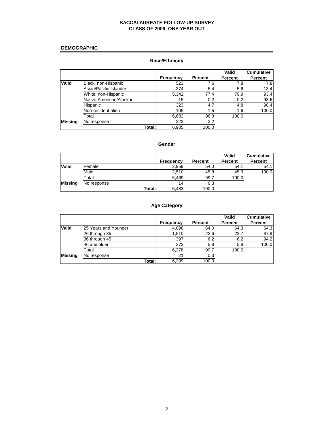#### **DEMOGRAPHIC**

## **Race/Ethnicity**

|                |                         |                  |                | Valid          | <b>Cumulative</b> |
|----------------|-------------------------|------------------|----------------|----------------|-------------------|
|                |                         | <b>Frequency</b> | <b>Percent</b> | <b>Percent</b> | <b>Percent</b>    |
| <b>Valid</b>   | Black, non-Hispanic     | 523              | 7.6            | 7.8            | 7.8               |
|                | Asian/Pacific Islander  | 374              | 5.4            | 5.6            | 13.4              |
|                | White, non-Hispanic     | 5,342            | 77.4           | 79.9           | 93.4              |
|                | Native American/Alaskan | 15               | 0.2            | 0.2            | 93.6              |
|                | Hispanic                | 323              | 4.7            | 4.8            | 98.4              |
|                | Non-resident alien      | 105              | 1.5            | 1.6            | 100.0             |
|                | Total                   | 6,682            | 96.8           | 100.0          |                   |
| <b>Missing</b> | No response             | 223              | 3.2            |                |                   |
|                | Total:I                 | 6,905            | 100.0          |                |                   |

#### **Gender**

|                |             |           |                | Valid          | <b>Cumulative</b> |
|----------------|-------------|-----------|----------------|----------------|-------------------|
|                |             | Frequency | <b>Percent</b> | <b>Percent</b> | Percent           |
| <b>Valid</b>   | Female      | 2,959     | 54.0           | 54.1           | 54.1              |
|                | Male        | 2.510     | 45.8           | 45.9           | 100.0             |
|                | Total       | 5,469     | 99.7           | 100.0          |                   |
| <b>Missing</b> | No response | 14        | 0.3            |                |                   |
|                | Total:      | 5,483     | 100.0          |                |                   |

## **Age Category**

|                |                      |                  |         | Valid          | <b>Cumulative</b> |
|----------------|----------------------|------------------|---------|----------------|-------------------|
|                |                      | <b>Frequency</b> | Percent | <b>Percent</b> | <b>Percent</b>    |
| <b>Valid</b>   | 25 Years and Younger | 4,098            | 64.0    | 64.3           | 64.3              |
|                | 26 through 35        | 1.510            | 23.6    | 23.7           | 87.9              |
|                | 36 through 45        | 397              | 6.2     | 6.2            | 94.2              |
|                | 46 and older         | 373              | 5.8     | 5.8            | 100.0             |
|                | Total                | 6,378            | 99.7    | 100.0          |                   |
| <b>Missing</b> | No response          | 21               | 0.3     |                |                   |
|                | Total:               | 6,399            | 100.0   |                |                   |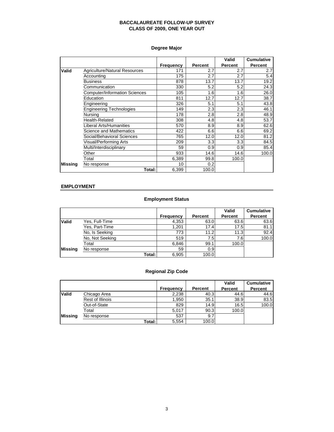## **Degree Major**

|                |                                      |                  |                | Valid          | <b>Cumulative</b> |
|----------------|--------------------------------------|------------------|----------------|----------------|-------------------|
|                |                                      | <b>Frequency</b> | <b>Percent</b> | <b>Percent</b> | <b>Percent</b>    |
| Valid          | <b>Agriculture/Natural Resources</b> | 171              | 2.7            | 2.7            | 2.7               |
|                | Accounting                           | 175              | 2.7            | 2.7            | 5.4               |
|                | <b>Business</b>                      | 878              | 13.7           | 13.7           | 19.2              |
|                | Communication                        | 330              | 5.2            | 5.2            | 24.3              |
|                | <b>Computer/Information Sciences</b> | 105              | 1.6            | 1.6            | 26.0              |
|                | Education                            | 811              | 12.7           | 12.7           | 38.7              |
|                | Engineering                          | 326              | 5.1            | 5.1            | 43.8              |
|                | <b>Engineering Technologies</b>      | 149              | 2.3            | 2.3            | 46.1              |
|                | Nursing                              | 178              | 2.8            | 2.8            | 48.9              |
|                | Health-Related                       | 308              | 4.8            | 4.8            | 53.7              |
|                | Liberal Arts/Humanities              | 570              | 8.9            | 8.9            | 62.6              |
|                | <b>Science and Mathematics</b>       | 422              | 6.6            | 6.6            | 69.2              |
|                | Social/Behavioral Sciences           | 765              | 12.0           | 12.0           | 81.2              |
|                | Visual/Performing Arts               | 209              | 3.3            | 3.3            | 84.5              |
|                | Multi/Interdisciplinary              | 59               | 0.9            | 0.9            | 85.4              |
|                | Other                                | 933              | 14.6           | 14.6           | 100.0             |
|                | Total                                | 6,389            | 99.8           | 100.0          |                   |
| <b>Missing</b> | No response                          | 10               | 0.2            |                |                   |
|                | Total:I                              | 6,399            | 100.0          |                |                   |

### **EMPLOYMENT**

## **Employment Status**

|                |                 |                  |         | Valid   | <b>Cumulative</b> |
|----------------|-----------------|------------------|---------|---------|-------------------|
|                |                 | <b>Frequency</b> | Percent | Percent | <b>Percent</b>    |
| <b>Valid</b>   | Yes, Full-Time  | 4,353            | 63.0    | 63.6    | 63.6              |
|                | Yes, Part-Time  | 1.201            | 17.4    | 17.5    | 81.1              |
|                | No, Is Seeking  | 773              | 11.2    | 11.3    | 92.4              |
|                | No, Not Seeking | 519              | 7.5     | 7.6     | 100.0             |
|                | Total           | 6.846            | 99.1    | 100.0   |                   |
| <b>Missing</b> | No response     | 59               | 0.9     |         |                   |
|                | Total:          | 6,905            | 100.0   |         |                   |

## **Regional Zip Code**

|                |                  |                  |         | Valid          | <b>Cumulative</b> |
|----------------|------------------|------------------|---------|----------------|-------------------|
|                |                  | <b>Frequency</b> | Percent | <b>Percent</b> | Percent           |
| <b>Valid</b>   | Chicago Area     | 2,238            | 40.3    | 44.6           | 44.6              |
|                | Rest of Illinois | 1,950            | 35.1    | 38.9           | 83.5              |
|                | Out-of-State     | 829              | 14.9    | 16.5           | 100.0             |
|                | Total            | 5.017            | 90.3    | 100.0          |                   |
| <b>Missing</b> | No response      | 537              | 9.7     |                |                   |
|                | Total:           | 5,554            | 100.0   |                |                   |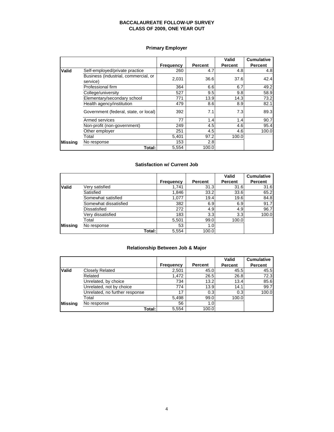## **Primary Employer**

|                |                                                  |           |                | Valid          | <b>Cumulative</b> |
|----------------|--------------------------------------------------|-----------|----------------|----------------|-------------------|
|                |                                                  | Frequency | <b>Percent</b> | <b>Percent</b> | Percent           |
| Valid          | Self-employed/private practice                   | 260       | 4.7            | 4.8            | 4.8               |
|                | Business (industrial, commercial, or<br>service) | 2,031     | 36.6           | 37.6           | 42.4              |
|                | Professional firm                                | 364       | 6.6            | 6.7            | 49.2              |
|                | College/university                               | 527       | 9.5            | 9.8            | 58.9              |
|                | Elementary/secondary school                      | 771       | 13.9           | 14.3           | 73.2              |
|                | Health agency/institution                        | 479       | 8.6            | 8.9            | 82.1              |
|                | Government (federal, state, or local)            | 392       | 7.1            | 7.3            | 89.3              |
|                | Armed services                                   | 77        | 1.4            | 1.4            | 90.7              |
|                | Non-profit (non-government)                      | 249       | 4.5            | 4.6            | 95.4              |
|                | Other employer                                   | 251       | 4.5            | 4.6            | 100.0             |
|                | Total                                            | 5,401     | 97.2           | 100.0          |                   |
| <b>Missing</b> | No response                                      | 153       | 2.8            |                |                   |
|                | Total:                                           | 5,554     | 100.0          |                |                   |

#### **Satisfaction w/ Current Job**

|              |                       |           |         | Valid          | <b>Cumulative</b> |
|--------------|-----------------------|-----------|---------|----------------|-------------------|
|              |                       | Frequency | Percent | <b>Percent</b> | Percent           |
| <b>Valid</b> | Verv satisfied        | 1.741     | 31.3    | 31.6           | 31.6              |
|              | Satisfied             | 1,846     | 33.2    | 33.6           | 65.2              |
|              | Somewhat satisfied    | 1,077     | 19.4    | 19.6           | 84.8              |
|              | Somewhat dissatisfied | 382       | 6.9     | 6.9            | 91.7              |
|              | Dissatisfied          | 272       | 4.9     | 4.9            | 96.7              |
|              | Very dissatisfied     | 183       | 3.3     | 3.3            | 100.0             |
|              | Total                 | 5,501     | 99.0    | 100.0          |                   |
| Missina      | No response           | 53        | 1.0     |                |                   |
|              | Total:I               | 5,554     | 100.0   |                |                   |

## **Relationship Between Job & Major**

|              |                                |                  |                | Valid   | <b>Cumulative</b> |
|--------------|--------------------------------|------------------|----------------|---------|-------------------|
|              |                                | <b>Frequency</b> | <b>Percent</b> | Percent | <b>Percent</b>    |
| <b>Valid</b> | <b>Closely Related</b>         | 2,501            | 45.0           | 45.5    | 45.5              |
|              | Related                        | 1.472            | 26.5           | 26.8    | 72.3              |
|              | Unrelated, by choice           | 734              | 13.2           | 13.4    | 85.6              |
|              | Unrelated, not by choice       | 774              | 13.9           | 14.1    | 99.7              |
|              | Unrelated, no further response | 17               | 0.3            | 0.3     | 100.0             |
|              | Total                          | 5,498            | 99.0           | 100.0   |                   |
| Missina      | No response                    | 56               | 1.0            |         |                   |
|              | Total:                         | 5.554            | 100.0          |         |                   |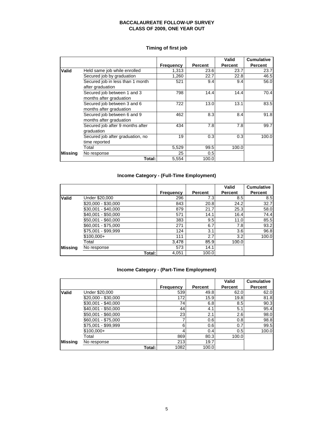| Timing of first job |  |  |
|---------------------|--|--|
|---------------------|--|--|

|                |                                                        |                  |                | Valid          | <b>Cumulative</b> |
|----------------|--------------------------------------------------------|------------------|----------------|----------------|-------------------|
|                |                                                        | <b>Frequency</b> | <b>Percent</b> | <b>Percent</b> | <b>Percent</b>    |
| Valid          | Held same job while enrolled                           | 1,313            | 23.6           | 23.7           | 23.7              |
|                | Secured job by graduation                              | 1,260            | 22.7           | 22.8           | 46.5              |
|                | Secured job in less than 1 month<br>after graduation   | 521              | 9.4            | 9.4            | 56.0              |
|                | Secured job between 1 and 3<br>months after graduation | 798              | 14.4           | 14.4           | 70.4              |
|                | Secured job between 3 and 6<br>months after graduation | 722              | 13.0           | 13.1           | 83.5              |
|                | Secured job between 6 and 9<br>months after graduation | 462              | 8.3            | 8.4            | 91.8              |
|                | Secured job after 9 months after<br>graduation         | 434              | 7.8            | 7.8            | 99.7              |
|                | Secured job after graduation, no<br>time reported      | 19               | 0.3            | 0.3            | 100.0             |
|                | Total                                                  | 5,529            | 99.5           | 100.0          |                   |
| <b>Missing</b> | No response                                            | 25               | 0.5            |                |                   |
|                | Total:I                                                | 5,554            | 100.0          |                |                   |

## **Income Category - (Full-Time Employment)**

|                |                     |                  |                | Valid          | <b>Cumulative</b> |
|----------------|---------------------|------------------|----------------|----------------|-------------------|
|                |                     | <b>Frequency</b> | <b>Percent</b> | <b>Percent</b> | <b>Percent</b>    |
| <b>Valid</b>   | Under \$20,000      | 296              | 7.3            | 8.5            | 8.5               |
|                | \$20,000 - \$30,000 | 843              | 20.8           | 24.2           | 32.7              |
|                | \$30,001 - \$40,000 | 879              | 21.7           | 25.3           | 58.0              |
|                | \$40,001 - \$50,000 | 571              | 14.1           | 16.4           | 74.4              |
|                | \$50,001 - \$60,000 | 383              | 9.5            | 11.0           | 85.5              |
|                | \$60,001 - \$75,000 | 271              | 6.7            | 7.8            | 93.2              |
|                | \$75,001 - \$99,999 | 124              | 3.1            | 3.6            | 96.8              |
|                | $$100,000+$         | 111              | 2.7            | 3.2            | 100.0             |
|                | Total               | 3,478            | 85.9           | 100.0          |                   |
| <b>Missing</b> | No response         | 573              | 14.1           |                |                   |
|                | Total: I            | 4,051            | 100.0          |                |                   |

## **Income Category - (Part-Time Employment)**

|                |                     |                  |         | Valid          | <b>Cumulative</b> |
|----------------|---------------------|------------------|---------|----------------|-------------------|
|                |                     | <b>Frequency</b> | Percent | <b>Percent</b> | <b>Percent</b>    |
| <b>Valid</b>   | Under \$20,000      | 539              | 49.8    | 62.0           | 62.0              |
|                | \$20,000 - \$30,000 | 172              | 15.9    | 19.8           | 81.8              |
|                | \$30,001 - \$40,000 | 74               | 6.8     | 8.5            | 90.3              |
|                | \$40,001 - \$50,000 | 44               | 4.1     | 5.1            | 95.4              |
|                | $$50,001 - $60,000$ | 23               | 2.1     | 2.6            | 98.0              |
|                | \$60,001 - \$75,000 | ⇁                | 0.6     | 0.8            | 98.8              |
|                | \$75,001 - \$99,999 | 6                | 0.6     | 0.7            | 99.5              |
|                | $$100,000+$         | 4                | 0.4     | 0.5            | 100.0             |
|                | Total               | 869              | 80.3    | 100.0          |                   |
| <b>Missing</b> | No response         | 213              | 19.7    |                |                   |
|                | Total:              | 1082             | 100.0   |                |                   |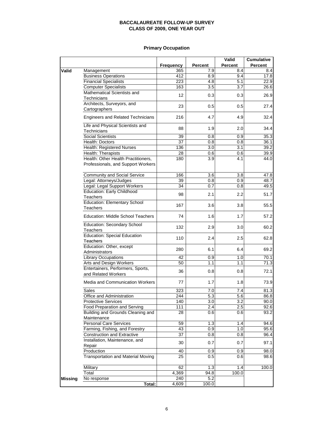## **Primary Occupation**

|                |                                                          |                  |                  | Valid          | <b>Cumulative</b> |
|----------------|----------------------------------------------------------|------------------|------------------|----------------|-------------------|
|                |                                                          | <b>Frequency</b> | <b>Percent</b>   | <b>Percent</b> | Percent           |
| Valid          | Management                                               | 365              | 7.9              | 8.4            | 8.4               |
|                | <b>Business Operations</b>                               | 412              | 8.9              | 9.4            | 17.8              |
|                | <b>Financial Specialists</b>                             | 223              | 4.8              | 5.1            | 22.9              |
|                | <b>Computer Specialists</b>                              | 163              | 3.5              | 3.7            | 26.6              |
|                | Mathematical Scientists and                              | 12               | 0.3              | 0.3            | 26.9              |
|                | Technicians                                              |                  |                  |                |                   |
|                | Architects, Surveyors, and                               | 23               | 0.5              | 0.5            | 27.4              |
|                | Cartographers                                            |                  |                  |                |                   |
|                | <b>Engineers and Related Technicians</b>                 | 216              | 4.7              | 4.9            | 32.4              |
|                | Life and Physical Scientists and<br>Technicians          | 88               | 1.9              | 2.0            | 34.4              |
|                | <b>Social Scientists</b>                                 | 39               | 0.8              | 0.9            | 35.3              |
|                | Health: Doctors                                          | 37               | 0.8              | 0.8            | 36.1              |
|                | Health: Registered Nurses                                | 136              | 3.0              | 3.1            | 39.2              |
|                | Health: Therapists                                       | 28               | 0.6              | 0.6            | 39.9              |
|                | Health: Other Health Practitioners,                      | 180              | 3.9              | 4.1            | 44.0              |
|                | Professionals, and Support Workers                       |                  |                  |                |                   |
|                | Community and Social Service                             | 166              | 3.6              | 3.8            | 47.8              |
|                | Legal: Attorneys/Judges                                  | 39               | 0.8              | 0.9            | 48.7              |
|                | Legal: Legal Support Workers                             | 34               | 0.7              | 0.8            | 49.5              |
|                | <b>Education: Early Childhood</b>                        |                  |                  |                |                   |
|                | Teachers                                                 | 98               | 2.1              | 2.2            | 51.7              |
|                | <b>Education: Elementary School</b><br><b>Teachers</b>   | 167              | 3.6              | 3.8            | 55.5              |
|                | Education: Middle School Teachers                        | 74               | 1.6              | 1.7            | 57.2              |
|                | Education: Secondary School<br>Teachers                  | 132              | 2.9              | 3.0            | 60.2              |
|                | <b>Education: Special Education</b><br>Teachers          | 110              | 2.4              | 2.5            | 62.8              |
|                | Education: Other, except<br>Administrators               | 280              | 6.1              | 6.4            | 69.2              |
|                | <b>Library Occupations</b>                               | 42               | 0.9              | 1.0            | 70.1              |
|                | Arts and Design Workers                                  | 50               | 1.1              | 1.1            | 71.3              |
|                | Entertainers, Performers, Sports,<br>and Related Workers | 36               | 0.8              | 0.8            | 72.1              |
|                | Media and Communication Workers                          | 77               | 1.7              | 1.8            | 73.9              |
|                | Sales                                                    | 323              | 7.0              | 7.4            | $\overline{81.3}$ |
|                | Office and Administration                                | 244              | $\overline{5.3}$ | 5.6            | 86.8              |
|                | Protective Services                                      | 140              | 3.0              | 3.2            | 90.0              |
|                | Food Preparation and Serving                             | 111              | 2.4              | 2.5            | 92.6              |
|                | Building and Grounds Cleaning and<br>Maintenance         | 28               | 0.6              | 0.6            | 93.2              |
|                | <b>Personal Care Services</b>                            | 59               | 1.3              | 1.4            | 94.6              |
|                | Farming, Fishing, and Forestry                           | 43               | 0.9              | 1.0            | 95.6              |
|                | <b>Construction and Extractive</b>                       | 37               | 0.8              | 0.8            | 96.4              |
|                | Installation, Maintenance, and<br>Repair                 | 30               | 0.7              | 0.7            | 97.1              |
|                | Production                                               | 40               | 0.9              | 0.9            | 98.0              |
|                | <b>Transportation and Material Moving</b>                | 25               | 0.5              | 0.6            | 98.6              |
|                | Military                                                 | 62               | 1.3              | 1.4            | 100.0             |
|                | Total                                                    | 4,369            | 94.8             | 100.0          |                   |
| <b>Missing</b> | No response                                              | 240              | 5.2              |                |                   |
|                | Total:                                                   | 4,609            | 100.0            |                |                   |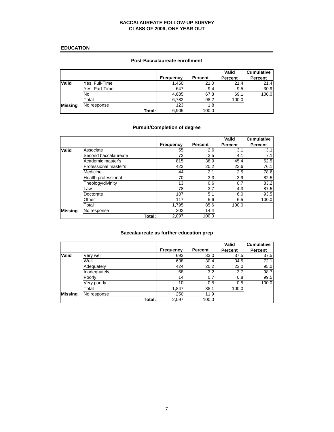#### **EDUCATION**

## **Post-Baccalaureate enrollment**

|                |                |           |                | Valid          | <b>Cumulative</b> |
|----------------|----------------|-----------|----------------|----------------|-------------------|
|                |                | Frequency | <b>Percent</b> | <b>Percent</b> | Percent           |
| <b>Valid</b>   | Yes, Full-Time | 1,450     | 21.0           | 21.4           | 21.4              |
|                | Yes, Part-Time | 647       | 9.4            | 9.5            | 30.9              |
|                | No             | 4,685     | 67.8           | 69.1           | 100.0             |
|                | Total          | 6,782     | 98.2           | 100.0          |                   |
| <b>Missing</b> | No response    | 123       | 1.8            |                |                   |
|                | Total:         | 6,905     | 100.0          |                |                   |

## **Pursuit/Completion of degree**

|                |                       |                  |                | Valid          | <b>Cumulative</b> |
|----------------|-----------------------|------------------|----------------|----------------|-------------------|
|                |                       | <b>Frequency</b> | <b>Percent</b> | <b>Percent</b> | Percent           |
| <b>Valid</b>   | Associate             | 55               | 2.6            | 3.1            | 3.1               |
|                | Second baccalaureate  | 73               | 3.5            | 4.1            | 7.1               |
|                | Academic master's     | 815              | 38.9           | 45.4           | 52.5              |
|                | Professional master's | 423              | 20.2           | 23.6           | 76.1              |
|                | Medicine              | 44               | 2.1            | 2.5            | 78.6              |
|                | Health professional   | 70               | 3.3            | 3.9            | 82.5              |
|                | Theology/divinity     | 13               | 0.6            | 0.7            | 83.2              |
|                | Law                   | 78               | 3.7            | 4.3            | 87.5              |
|                | Doctorate             | 107              | 5.1            | 6.0            | 93.5              |
|                | Other                 | 117              | 5.6            | 6.5            | 100.0             |
|                | Total                 | 1.795            | 85.6           | 100.0          |                   |
| <b>Missing</b> | No response           | 302              | 14.4           |                |                   |
|                | Total:                | 2,097            | 100.0          |                |                   |

#### **Baccalaureate as further education prep**

|                |              |                  |                | Valid   | <b>Cumulative</b> |
|----------------|--------------|------------------|----------------|---------|-------------------|
|                |              | <b>Frequency</b> | <b>Percent</b> | Percent | <b>Percent</b>    |
| <b>Valid</b>   | Verv well    | 693              | 33.0           | 37.5    | 37.5              |
|                | Well         | 638              | 30.4           | 34.5    | 72.1              |
|                | Adequately   | 424              | 20.2           | 23.0    | 95.0              |
|                | Inadequately | 68               | 3.2            | 3.7     | 98.7              |
|                | Poorly       | 14               | 0.7            | 0.8     | 99.5              |
|                | Very poorly  | 10               | 0.5            | 0.5     | 100.0             |
|                | Total        | 1,847            | 88.1           | 100.0   |                   |
| <b>Missing</b> | No response  | 250              | 11.9           |         |                   |
|                | Total:       | 2,097            | 100.0          |         |                   |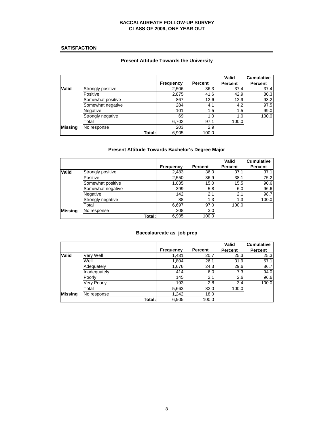#### **SATISFACTION**

## **Present Attitude Towards the University**

|                |                   |                  |         | Valid          | <b>Cumulative</b> |
|----------------|-------------------|------------------|---------|----------------|-------------------|
|                |                   | <b>Frequency</b> | Percent | <b>Percent</b> | <b>Percent</b>    |
| <b>Valid</b>   | Strongly positive | 2,506            | 36.3    | 37.4           | 37.4              |
|                | Positive          | 2,875            | 41.6    | 42.9           | 80.3              |
|                | Somewhat positive | 867              | 12.6    | 12.9           | 93.2              |
|                | Somewhat negative | 284              | 4.1     | 4.2            | 97.5              |
|                | Negative          | 101              | 1.5     | 1.5            | 99.0              |
|                | Strongly negative | 69               | 1.0     | 1.0            | 100.0             |
|                | Total             | 6,702            | 97.1    | 100.0          |                   |
| <b>Missing</b> | No response       | 203              | 2.9     |                |                   |
|                | Total: I          | 6,905            | 100.0   |                |                   |

## **Present Attitude Towards Bachelor's Degree Major**

|                |                   |                  |                  | Valid          | <b>Cumulative</b> |
|----------------|-------------------|------------------|------------------|----------------|-------------------|
|                |                   | <b>Frequency</b> | Percent          | <b>Percent</b> | <b>Percent</b>    |
| <b>Valid</b>   | Strongly positive | 2,483            | 36.0             | 37.1           | 37.1              |
|                | Positive          | 2,550            | 36.9             | 38.1           | 75.2              |
|                | Somewhat positive | 1,035            | 15.0             | 15.5           | 90.6              |
|                | Somewhat negative | 399              | 5.8              | 6.0            | 96.6              |
|                | Negative          | 142              | 2.1              | 2.1            | 98.7              |
|                | Strongly negative | 88               | 1.3 <sub>1</sub> | 1.3            | 100.0             |
|                | Total             | 6,697            | 97.0             | 100.0          |                   |
| <b>Missing</b> | No response       | 208              | 3.0              |                |                   |
|                | Total:            | 6,905            | 100.0            |                |                   |

#### **Baccalaureate as job prep**

|                |                    |                  |                | Valid          | <b>Cumulative</b> |
|----------------|--------------------|------------------|----------------|----------------|-------------------|
|                |                    | <b>Frequency</b> | <b>Percent</b> | <b>Percent</b> | <b>Percent</b>    |
| <b>Valid</b>   | Verv Well          | 1,431            | 20.7           | 25.3           | 25.3              |
|                | Well               | 1,804            | 26.1           | 31.9           | 57.1              |
|                | Adequately         | 1,676            | 24.3           | 29.6           | 86.7              |
|                | Inadequately       | 414              | 6.0            | 7.3            | 94.0              |
|                | Poorly             | 145              | 2.1            | 2.6            | 96.6              |
|                | <b>Very Poorly</b> | 193              | 2.8            | 3.4            | 100.0             |
|                | Total              | 5,663            | 82.0           | 100.0          |                   |
| <b>Missing</b> | No response        | 1.242            | 18.0           |                |                   |
|                | Total:             | 6,905            | 100.0          |                |                   |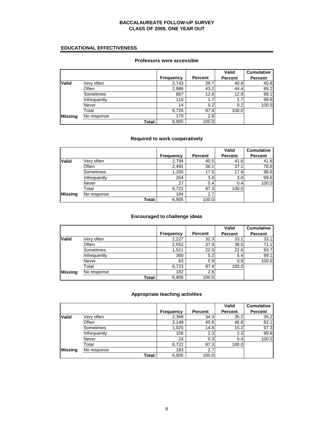### **EDUCATIONAL EFFECTIVENESS**

## **Professors were accessible**

|                |              |                  |         | Valid   | <b>Cumulative</b> |
|----------------|--------------|------------------|---------|---------|-------------------|
|                |              | <b>Frequency</b> | Percent | Percent | <b>Percent</b>    |
| <b>Valid</b>   | Very often   | 2,743            | 39.7    | 40.8    | 40.8              |
|                | Often        | 2,986            | 43.2    | 44.4    | 85.2              |
|                | Sometimes    | 867              | 12.6    | 12.9    | 98.1              |
|                | Infrequently | 116              | 1.7     | 1.7     | 99.8              |
|                | Never        | 14               | 0.2     | 0.2     | 100.0             |
|                | Total        | 6,726            | 97.4    | 100.0   |                   |
| <b>Missing</b> | No response  | 179              | 2.6     |         |                   |
|                | Total:       | 6,905            | 100.0   |         |                   |

## **Required to work cooperatively**

|                |              |                  |                  | Valid   | <b>Cumulative</b> |
|----------------|--------------|------------------|------------------|---------|-------------------|
|                |              | <b>Frequency</b> | <b>Percent</b>   | Percent | <b>Percent</b>    |
| <b>Valid</b>   | Very often   | 2,794            | 40.5             | 41.6    | 41.6              |
|                | Often        | 2,491            | 36.1             | 37.1    | 78.6              |
|                | Sometimes    | 1,205            | 17.5             | 17.9    | 96.6              |
|                | Infrequently | 204              | 3.0 <sub>l</sub> | 3.0     | 99.6              |
|                | Never        | 27               | 0.4              | 0.4     | 100.0             |
|                | Total        | 6,721            | 97.3             | 100.0   |                   |
| <b>Missing</b> | No response  | 184              | 2.7              |         |                   |
|                | Total:       | 6,905            | 100.0            |         |                   |

## **Encouraged to challenge ideas**

|                |              |                  |         | Valid   | <b>Cumulative</b> |
|----------------|--------------|------------------|---------|---------|-------------------|
|                |              | <b>Frequency</b> | Percent | Percent | <b>Percent</b>    |
| <b>Valid</b>   | Verv often   | 2,227            | 32.3    | 33.7    | 33.1              |
|                | Often        | 2,552            | 37.0    | 38.0    | 71.1              |
|                | Sometimes    | 1,521            | 22.0    | 22.6    | 93.7              |
|                | Infrequently | 360              | 5.2     | 5.4     | 99.1              |
|                | Never        | 63               | 0.9     | 0.9     | 100.0             |
|                | Total        | 6,723            | 97.4    | 100.0   |                   |
| <b>Missing</b> | No response  | 182              | 2.6     |         |                   |
|                | Total:       | 6,905            | 100.0   |         |                   |

### **Appropriate teaching activities**

|                |              |                  |         | Valid   | <b>Cumulative</b> |
|----------------|--------------|------------------|---------|---------|-------------------|
|                |              | <b>Frequency</b> | Percent | Percent | <b>Percent</b>    |
| <b>Valid</b>   | Very often   | 2,368            | 34.3    | 35.2    | 35.2              |
|                | Often        | 3,149            | 45.6    | 46.8    | 82.1              |
|                | Sometimes    | 1,025            | 14.8    | 15.2    | 97.3              |
|                | Infrequently | 156              | 2.3     | 2.3     | 99.6              |
|                | Never        | 24               | 0.3     | 0.4     | 100.0             |
|                | Total        | 6,722            | 97.3    | 100.0   |                   |
| <b>Missing</b> | No response  | 183              | 2.7     |         |                   |
|                | Total:       | 6,905            | 100.0   |         |                   |